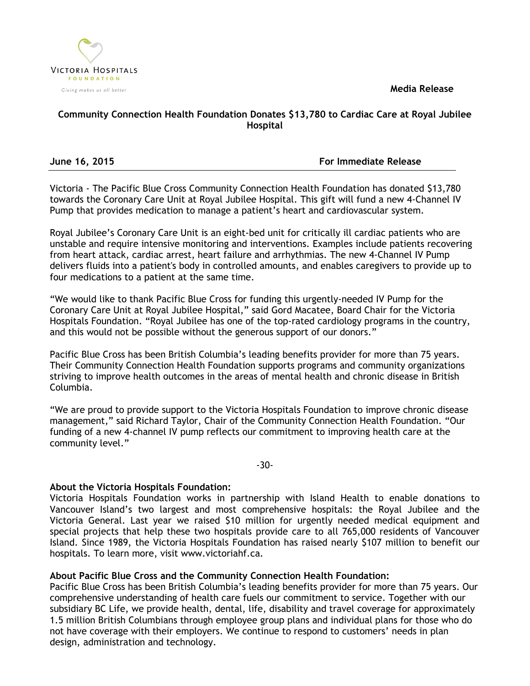**Media Release**



## **Community Connection Health Foundation Donates \$13,780 to Cardiac Care at Royal Jubilee Hospital**

**June 16, 2015 For Immediate Release**

Victoria - The Pacific Blue Cross Community Connection Health Foundation has donated \$13,780 towards the Coronary Care Unit at Royal Jubilee Hospital. This gift will fund a new 4-Channel IV Pump that provides medication to manage a patient's heart and cardiovascular system.

Royal Jubilee's Coronary Care Unit is an eight‐bed unit for critically ill cardiac patients who are unstable and require intensive monitoring and interventions. Examples include patients recovering from heart attack, cardiac arrest, heart failure and arrhythmias. The new 4-Channel IV Pump delivers fluids into a patient's body in controlled amounts, and enables caregivers to provide up to four medications to a patient at the same time.

"We would like to thank Pacific Blue Cross for funding this urgently-needed IV Pump for the Coronary Care Unit at Royal Jubilee Hospital," said Gord Macatee, Board Chair for the Victoria Hospitals Foundation. "Royal Jubilee has one of the top-rated cardiology programs in the country, and this would not be possible without the generous support of our donors."

Pacific Blue Cross has been British Columbia's leading benefits provider for more than 75 years. Their Community Connection Health Foundation supports programs and community organizations striving to improve health outcomes in the areas of mental health and chronic disease in British Columbia.

"We are proud to provide support to the Victoria Hospitals Foundation to improve chronic disease management," said Richard Taylor, Chair of the Community Connection Health Foundation. "Our funding of a new 4-channel IV pump reflects our commitment to improving health care at the community level."

-30-

## **About the Victoria Hospitals Foundation:**

Victoria Hospitals Foundation works in partnership with Island Health to enable donations to Vancouver Island's two largest and most comprehensive hospitals: the Royal Jubilee and the Victoria General. Last year we raised \$10 million for urgently needed medical equipment and special projects that help these two hospitals provide care to all 765,000 residents of Vancouver Island. Since 1989, the Victoria Hospitals Foundation has raised nearly \$107 million to benefit our hospitals. To learn more, visit www.victoriahf.ca.

# **About Pacific Blue Cross and the Community Connection Health Foundation:**

Pacific Blue Cross has been British Columbia's leading benefits provider for more than 75 years. Our comprehensive understanding of health care fuels our commitment to service. Together with our subsidiary BC Life, we provide health, dental, life, disability and travel coverage for approximately 1.5 million British Columbians through employee group plans and individual plans for those who do not have coverage with their employers. We continue to respond to customers' needs in plan design, administration and technology.